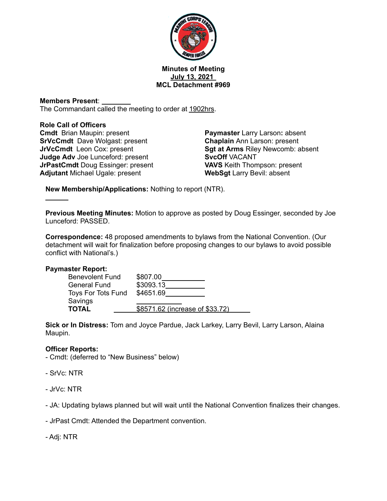

#### **Minutes of Meeting July 13, 2021 MCL Detachment #969**

# **Members Present**:

The Commandant called the meeting to order at 1902hrs.

#### **Role Call of Officers**

**Cmdt** Brian Maupin: present **SrVcCmdt** Dave Wolgast: present **JrVcCmdt** Leon Cox: present **Judge Adv** Joe Lunceford: present **JrPastCmdt** Doug Essinger: present **Adjutant** Michael Ugale: present

**Paymaster** Larry Larson**:** absent **Chaplain** Ann Larson: present **Sgt at Arms** Riley Newcomb: absent **SvcOff** VACANT **VAVS** Keith Thompson: present **WebSgt** Larry Bevil: absent

**New Membership/Applications:** Nothing to report (NTR).

**Previous Meeting Minutes:** Motion to approve as posted by Doug Essinger, seconded by Joe Lunceford: PASSED.

**Correspondence:** 48 proposed amendments to bylaws from the National Convention. (Our detachment will wait for finalization before proposing changes to our bylaws to avoid possible conflict with National's.)

## **Paymaster Report:**

| <b>Benevolent Fund</b> | \$807.00                        |
|------------------------|---------------------------------|
| <b>General Fund</b>    | \$3093.13                       |
| Toys For Tots Fund     | \$4651.69                       |
| Savings                |                                 |
| <b>TOTAL</b>           | \$8571.62 (increase of \$33.72) |

**Sick or In Distress:** Tom and Joyce Pardue, Jack Larkey, Larry Bevil, Larry Larson, Alaina Maupin.

## **Officer Reports:**

- Cmdt: (deferred to "New Business" below)
- SrVc: NTR
- JrVc: NTR
- JA: Updating bylaws planned but will wait until the National Convention finalizes their changes.
- JrPast Cmdt: Attended the Department convention.
- Adj: NTR